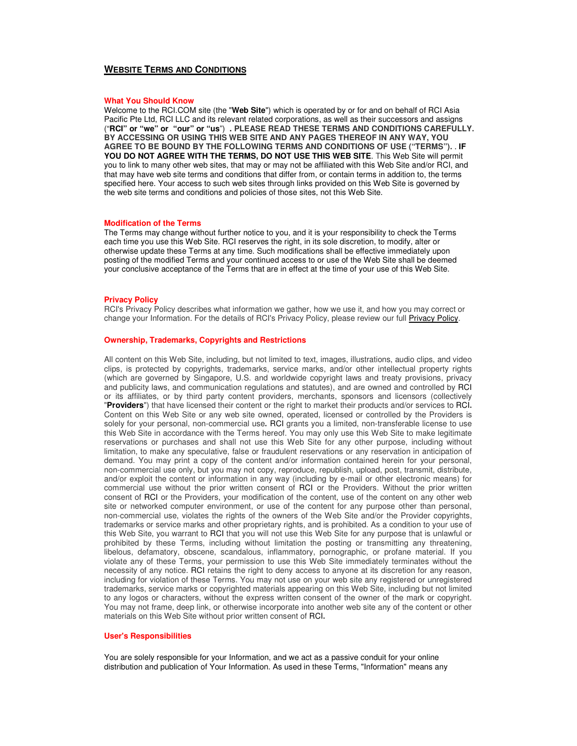# **WEBSITE TERMS AND CONDITIONS**

#### **What You Should Know**

Welcome to the RCI.COM site (the "**Web Site**") which is operated by or for and on behalf of RCI Asia Pacific Pte Ltd, RCI LLC and its relevant related corporations, as well as their successors and assigns ("**RCI" or "we" or "our" or "us**") **. PLEASE READ THESE TERMS AND CONDITIONS CAREFULLY. BY ACCESSING OR USING THIS WEB SITE AND ANY PAGES THEREOF IN ANY WAY, YOU AGREE TO BE BOUND BY THE FOLLOWING TERMS AND CONDITIONS OF USE ("TERMS").** . **IF YOU DO NOT AGREE WITH THE TERMS, DO NOT USE THIS WEB SITE**. This Web Site will permit you to link to many other web sites, that may or may not be affiliated with this Web Site and/or RCI, and that may have web site terms and conditions that differ from, or contain terms in addition to, the terms specified here. Your access to such web sites through links provided on this Web Site is governed by the web site terms and conditions and policies of those sites, not this Web Site.

#### **Modification of the Terms**

The Terms may change without further notice to you, and it is your responsibility to check the Terms each time you use this Web Site. RCI reserves the right, in its sole discretion, to modify, alter or otherwise update these Terms at any time. Such modifications shall be effective immediately upon posting of the modified Terms and your continued access to or use of the Web Site shall be deemed your conclusive acceptance of the Terms that are in effect at the time of your use of this Web Site.

# **Privacy Policy**

RCI's Privacy Policy describes what information we gather, how we use it, and how you may correct or change your Information. For the details of RCI's Privacy Policy, please review our full Privacy Policy.

### **Ownership, Trademarks, Copyrights and Restrictions**

All content on this Web Site, including, but not limited to text, images, illustrations, audio clips, and video clips, is protected by copyrights, trademarks, service marks, and/or other intellectual property rights (which are governed by Singapore, U.S. and worldwide copyright laws and treaty provisions, privacy and publicity laws, and communication regulations and statutes), and are owned and controlled by RCI or its affiliates, or by third party content providers, merchants, sponsors and licensors (collectively "**Providers**") that have licensed their content or the right to market their products and/or services to RCI**.** Content on this Web Site or any web site owned, operated, licensed or controlled by the Providers is solely for your personal, non-commercial use**.** RCI grants you a limited, non-transferable license to use this Web Site in accordance with the Terms hereof. You may only use this Web Site to make legitimate reservations or purchases and shall not use this Web Site for any other purpose, including without limitation, to make any speculative, false or fraudulent reservations or any reservation in anticipation of demand. You may print a copy of the content and/or information contained herein for your personal, non-commercial use only, but you may not copy, reproduce, republish, upload, post, transmit, distribute, and/or exploit the content or information in any way (including by e-mail or other electronic means) for commercial use without the prior written consent of RCI or the Providers. Without the prior written consent of RCI or the Providers, your modification of the content, use of the content on any other web site or networked computer environment, or use of the content for any purpose other than personal, non-commercial use, violates the rights of the owners of the Web Site and/or the Provider copyrights, trademarks or service marks and other proprietary rights, and is prohibited. As a condition to your use of this Web Site, you warrant to RCI that you will not use this Web Site for any purpose that is unlawful or prohibited by these Terms, including without limitation the posting or transmitting any threatening, libelous, defamatory, obscene, scandalous, inflammatory, pornographic, or profane material. If you violate any of these Terms, your permission to use this Web Site immediately terminates without the necessity of any notice. RCI retains the right to deny access to anyone at its discretion for any reason, including for violation of these Terms. You may not use on your web site any registered or unregistered trademarks, service marks or copyrighted materials appearing on this Web Site, including but not limited to any logos or characters, without the express written consent of the owner of the mark or copyright. You may not frame, deep link, or otherwise incorporate into another web site any of the content or other materials on this Web Site without prior written consent of RCI**.**

# **User's Responsibilities**

You are solely responsible for your Information, and we act as a passive conduit for your online distribution and publication of Your Information. As used in these Terms, "Information" means any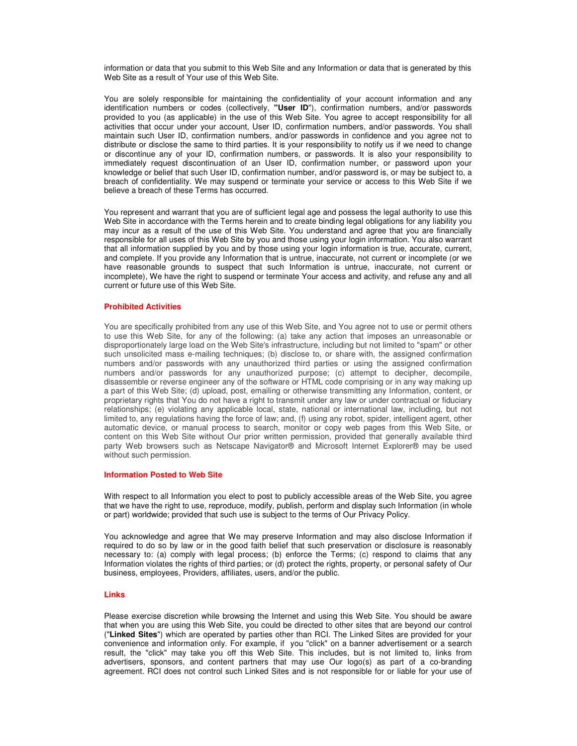information or data that you submit to this Web Site and any Information or data that is generated by this Web Site as a result of Your use of this Web Site.

You are solely responsible for maintaining the confidentiality of your account information and any identification numbers or codes (collectively, **"User ID**"), confirmation numbers, and/or passwords provided to you (as applicable) in the use of this Web Site. You agree to accept responsibility for all activities that occur under your account, User ID, confirmation numbers, and/or passwords. You shall maintain such User ID, confirmation numbers, and/or passwords in confidence and you agree not to distribute or disclose the same to third parties. It is your responsibility to notify us if we need to change or discontinue any of your ID, confirmation numbers, or passwords. It is also your responsibility to immediately request discontinuation of an User ID, confirmation number, or password upon your knowledge or belief that such User ID, confirmation number, and/or password is, or may be subject to, a breach of confidentiality. We may suspend or terminate your service or access to this Web Site if we believe a breach of these Terms has occurred.

You represent and warrant that you are of sufficient legal age and possess the legal authority to use this Web Site in accordance with the Terms herein and to create binding legal obligations for any liability you may incur as a result of the use of this Web Site. You understand and agree that you are financially responsible for all uses of this Web Site by you and those using your login information. You also warrant that all information supplied by you and by those using your login information is true, accurate, current, and complete. If you provide any Information that is untrue, inaccurate, not current or incomplete (or we have reasonable grounds to suspect that such Information is untrue, inaccurate, not current or incomplete), We have the right to suspend or terminate Your access and activity, and refuse any and all current or future use of this Web Site.

## **Prohibited Activities**

You are specifically prohibited from any use of this Web Site, and You agree not to use or permit others to use this Web Site, for any of the following: (a) take any action that imposes an unreasonable or disproportionately large load on the Web Site's infrastructure, including but not limited to "spam" or other such unsolicited mass e-mailing techniques; (b) disclose to, or share with, the assigned confirmation numbers and/or passwords with any unauthorized third parties or using the assigned confirmation numbers and/or passwords for any unauthorized purpose; (c) attempt to decipher, decompile, disassemble or reverse engineer any of the software or HTML code comprising or in any way making up a part of this Web Site; (d) upload, post, emailing or otherwise transmitting any Information, content, or proprietary rights that You do not have a right to transmit under any law or under contractual or fiduciary relationships; (e) violating any applicable local, state, national or international law, including, but not limited to, any regulations having the force of law; and, (f) using any robot, spider, intelligent agent, other automatic device, or manual process to search, monitor or copy web pages from this Web Site, or content on this Web Site without Our prior written permission, provided that generally available third party Web browsers such as Netscape Navigator® and Microsoft Internet Explorer® may be used without such permission.

### **Information Posted to Web Site**

With respect to all Information you elect to post to publicly accessible areas of the Web Site, you agree that we have the right to use, reproduce, modify, publish, perform and display such Information (in whole or part) worldwide; provided that such use is subject to the terms of Our Privacy Policy.

You acknowledge and agree that We may preserve Information and may also disclose Information if required to do so by law or in the good faith belief that such preservation or disclosure is reasonably necessary to: (a) comply with legal process; (b) enforce the Terms; (c) respond to claims that any Information violates the rights of third parties; or (d) protect the rights, property, or personal safety of Our business, employees, Providers, affiliates, users, and/or the public.

## **Links**

Please exercise discretion while browsing the Internet and using this Web Site. You should be aware that when you are using this Web Site, you could be directed to other sites that are beyond our control ("**Linked Sites**") which are operated by parties other than RCI. The Linked Sites are provided for your convenience and information only. For example, if you "click" on a banner advertisement or a search result, the "click" may take you off this Web Site. This includes, but is not limited to, links from advertisers, sponsors, and content partners that may use Our logo(s) as part of a co-branding agreement. RCI does not control such Linked Sites and is not responsible for or liable for your use of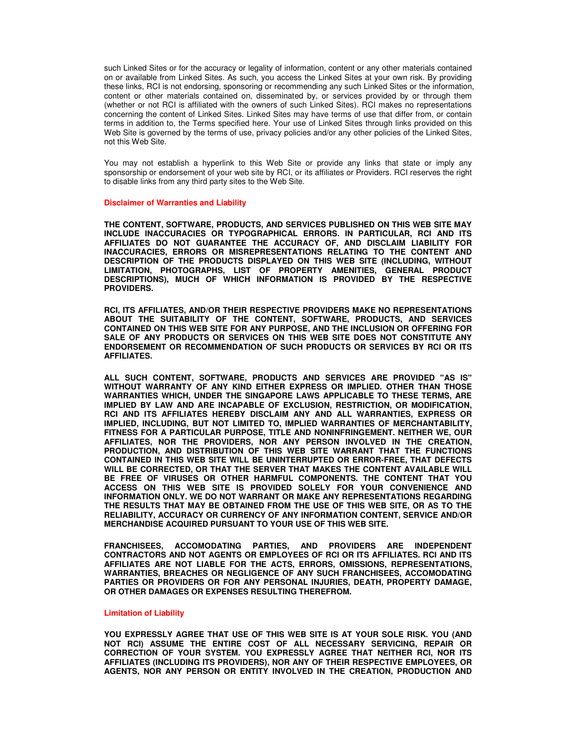such Linked Sites or for the accuracy or legality of information, content or any other materials contained on or available from Linked Sites. As such, you access the Linked Sites at your own risk. By providing these links, RCI is not endorsing, sponsoring or recommending any such Linked Sites or the information, content or other materials contained on, disseminated by, or services provided by or through them (whether or not RCI is affiliated with the owners of such Linked Sites). RCI makes no representations concerning the content of Linked Sites. Linked Sites may have terms of use that differ from, or contain terms in addition to, the Terms specified here. Your use of Linked Sites through links provided on this Web Site is governed by the terms of use, privacy policies and/or any other policies of the Linked Sites, not this Web Site.

You may not establish a hyperlink to this Web Site or provide any links that state or imply any sponsorship or endorsement of your web site by RCI, or its affiliates or Providers. RCI reserves the right to disable links from any third party sites to the Web Site.

### **Disclaimer of Warranties and Liability**

**THE CONTENT, SOFTWARE, PRODUCTS, AND SERVICES PUBLISHED ON THIS WEB SITE MAY INCLUDE INACCURACIES OR TYPOGRAPHICAL ERRORS. IN PARTICULAR, RCI AND ITS AFFILIATES DO NOT GUARANTEE THE ACCURACY OF, AND DISCLAIM LIABILITY FOR INACCURACIES, ERRORS OR MISREPRESENTATIONS RELATING TO THE CONTENT AND DESCRIPTION OF THE PRODUCTS DISPLAYED ON THIS WEB SITE (INCLUDING, WITHOUT LIMITATION, PHOTOGRAPHS, LIST OF PROPERTY AMENITIES, GENERAL PRODUCT DESCRIPTIONS), MUCH OF WHICH INFORMATION IS PROVIDED BY THE RESPECTIVE PROVIDERS.**

**RCI, ITS AFFILIATES, AND/OR THEIR RESPECTIVE PROVIDERS MAKE NO REPRESENTATIONS ABOUT THE SUITABILITY OF THE CONTENT, SOFTWARE, PRODUCTS, AND SERVICES CONTAINED ON THIS WEB SITE FOR ANY PURPOSE, AND THE INCLUSION OR OFFERING FOR SALE OF ANY PRODUCTS OR SERVICES ON THIS WEB SITE DOES NOT CONSTITUTE ANY ENDORSEMENT OR RECOMMENDATION OF SUCH PRODUCTS OR SERVICES BY RCI OR ITS AFFILIATES.** 

**ALL SUCH CONTENT, SOFTWARE, PRODUCTS AND SERVICES ARE PROVIDED "AS IS" WITHOUT WARRANTY OF ANY KIND EITHER EXPRESS OR IMPLIED. OTHER THAN THOSE WARRANTIES WHICH, UNDER THE SINGAPORE LAWS APPLICABLE TO THESE TERMS, ARE IMPLIED BY LAW AND ARE INCAPABLE OF EXCLUSION, RESTRICTION, OR MODIFICATION, RCI AND ITS AFFILIATES HEREBY DISCLAIM ANY AND ALL WARRANTIES, EXPRESS OR IMPLIED, INCLUDING, BUT NOT LIMITED TO, IMPLIED WARRANTIES OF MERCHANTABILITY, FITNESS FOR A PARTICULAR PURPOSE, TITLE AND NONINFRINGEMENT. NEITHER WE, OUR AFFILIATES, NOR THE PROVIDERS, NOR ANY PERSON INVOLVED IN THE CREATION, PRODUCTION, AND DISTRIBUTION OF THIS WEB SITE WARRANT THAT THE FUNCTIONS CONTAINED IN THIS WEB SITE WILL BE UNINTERRUPTED OR ERROR-FREE, THAT DEFECTS WILL BE CORRECTED, OR THAT THE SERVER THAT MAKES THE CONTENT AVAILABLE WILL BE FREE OF VIRUSES OR OTHER HARMFUL COMPONENTS. THE CONTENT THAT YOU ACCESS ON THIS WEB SITE IS PROVIDED SOLELY FOR YOUR CONVENIENCE AND INFORMATION ONLY. WE DO NOT WARRANT OR MAKE ANY REPRESENTATIONS REGARDING THE RESULTS THAT MAY BE OBTAINED FROM THE USE OF THIS WEB SITE, OR AS TO THE RELIABILITY, ACCURACY OR CURRENCY OF ANY INFORMATION CONTENT, SERVICE AND/OR MERCHANDISE ACQUIRED PURSUANT TO YOUR USE OF THIS WEB SITE.** 

**FRANCHISEES, ACCOMODATING PARTIES, AND PROVIDERS ARE INDEPENDENT CONTRACTORS AND NOT AGENTS OR EMPLOYEES OF RCI OR ITS AFFILIATES. RCI AND ITS AFFILIATES ARE NOT LIABLE FOR THE ACTS, ERRORS, OMISSIONS, REPRESENTATIONS, WARRANTIES, BREACHES OR NEGLIGENCE OF ANY SUCH FRANCHISEES, ACCOMODATING PARTIES OR PROVIDERS OR FOR ANY PERSONAL INJURIES, DEATH, PROPERTY DAMAGE, OR OTHER DAMAGES OR EXPENSES RESULTING THEREFROM.**

### **Limitation of Liability**

**YOU EXPRESSLY AGREE THAT USE OF THIS WEB SITE IS AT YOUR SOLE RISK. YOU (AND NOT RCI) ASSUME THE ENTIRE COST OF ALL NECESSARY SERVICING, REPAIR OR CORRECTION OF YOUR SYSTEM. YOU EXPRESSLY AGREE THAT NEITHER RCI, NOR ITS AFFILIATES (INCLUDING ITS PROVIDERS), NOR ANY OF THEIR RESPECTIVE EMPLOYEES, OR AGENTS, NOR ANY PERSON OR ENTITY INVOLVED IN THE CREATION, PRODUCTION AND**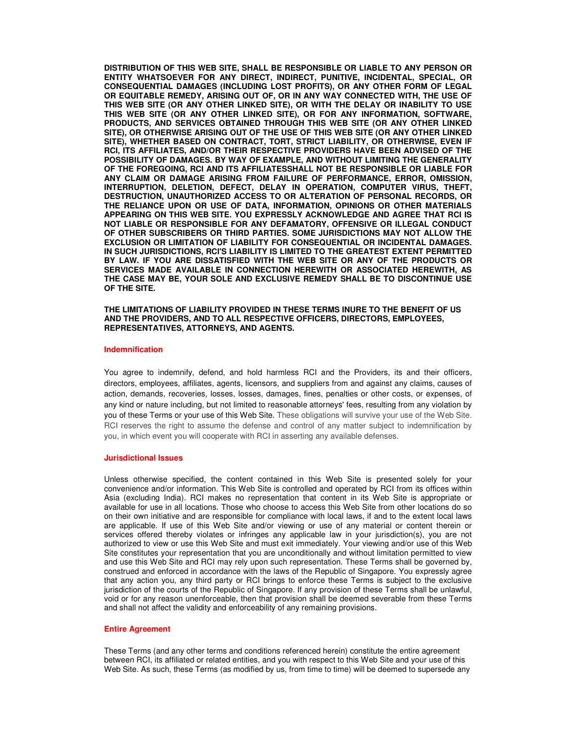**DISTRIBUTION OF THIS WEB SITE, SHALL BE RESPONSIBLE OR LIABLE TO ANY PERSON OR ENTITY WHATSOEVER FOR ANY DIRECT, INDIRECT, PUNITIVE, INCIDENTAL, SPECIAL, OR CONSEQUENTIAL DAMAGES (INCLUDING LOST PROFITS), OR ANY OTHER FORM OF LEGAL OR EQUITABLE REMEDY, ARISING OUT OF, OR IN ANY WAY CONNECTED WITH, THE USE OF THIS WEB SITE (OR ANY OTHER LINKED SITE), OR WITH THE DELAY OR INABILITY TO USE THIS WEB SITE (OR ANY OTHER LINKED SITE), OR FOR ANY INFORMATION, SOFTWARE, PRODUCTS, AND SERVICES OBTAINED THROUGH THIS WEB SITE (OR ANY OTHER LINKED SITE), OR OTHERWISE ARISING OUT OF THE USE OF THIS WEB SITE (OR ANY OTHER LINKED SITE), WHETHER BASED ON CONTRACT, TORT, STRICT LIABILITY, OR OTHERWISE, EVEN IF RCI, ITS AFFILIATES, AND/OR THEIR RESPECTIVE PROVIDERS HAVE BEEN ADVISED OF THE POSSIBILITY OF DAMAGES. BY WAY OF EXAMPLE, AND WITHOUT LIMITING THE GENERALITY OF THE FOREGOING, RCI AND ITS AFFILIATESSHALL NOT BE RESPONSIBLE OR LIABLE FOR ANY CLAIM OR DAMAGE ARISING FROM FAILURE OF PERFORMANCE, ERROR, OMISSION, INTERRUPTION, DELETION, DEFECT, DELAY IN OPERATION, COMPUTER VIRUS, THEFT, DESTRUCTION, UNAUTHORIZED ACCESS TO OR ALTERATION OF PERSONAL RECORDS, OR THE RELIANCE UPON OR USE OF DATA, INFORMATION, OPINIONS OR OTHER MATERIALS APPEARING ON THIS WEB SITE. YOU EXPRESSLY ACKNOWLEDGE AND AGREE THAT RCI IS NOT LIABLE OR RESPONSIBLE FOR ANY DEFAMATORY, OFFENSIVE OR ILLEGAL CONDUCT OF OTHER SUBSCRIBERS OR THIRD PARTIES. SOME JURISDICTIONS MAY NOT ALLOW THE EXCLUSION OR LIMITATION OF LIABILITY FOR CONSEQUENTIAL OR INCIDENTAL DAMAGES. IN SUCH JURISDICTIONS, RCI'S LIABILITY IS LIMITED TO THE GREATEST EXTENT PERMITTED BY LAW. IF YOU ARE DISSATISFIED WITH THE WEB SITE OR ANY OF THE PRODUCTS OR SERVICES MADE AVAILABLE IN CONNECTION HEREWITH OR ASSOCIATED HEREWITH, AS THE CASE MAY BE, YOUR SOLE AND EXCLUSIVE REMEDY SHALL BE TO DISCONTINUE USE OF THE SITE.** 

### **THE LIMITATIONS OF LIABILITY PROVIDED IN THESE TERMS INURE TO THE BENEFIT OF US AND THE PROVIDERS, AND TO ALL RESPECTIVE OFFICERS, DIRECTORS, EMPLOYEES, REPRESENTATIVES, ATTORNEYS, AND AGENTS.**

#### **Indemnification**

You agree to indemnify, defend, and hold harmless RCI and the Providers, its and their officers, directors, employees, affiliates, agents, licensors, and suppliers from and against any claims, causes of action, demands, recoveries, losses, losses, damages, fines, penalties or other costs, or expenses, of any kind or nature including, but not limited to reasonable attorneys' fees, resulting from any violation by you of these Terms or your use of this Web Site. These obligations will survive your use of the Web Site. RCI reserves the right to assume the defense and control of any matter subject to indemnification by you, in which event you will cooperate with RCI in asserting any available defenses.

### **Jurisdictional Issues**

Unless otherwise specified, the content contained in this Web Site is presented solely for your convenience and/or information. This Web Site is controlled and operated by RCI from its offices within Asia (excluding India). RCI makes no representation that content in its Web Site is appropriate or available for use in all locations. Those who choose to access this Web Site from other locations do so on their own initiative and are responsible for compliance with local laws, if and to the extent local laws are applicable. If use of this Web Site and/or viewing or use of any material or content therein or services offered thereby violates or infringes any applicable law in your jurisdiction(s), you are not authorized to view or use this Web Site and must exit immediately. Your viewing and/or use of this Web Site constitutes your representation that you are unconditionally and without limitation permitted to view and use this Web Site and RCI may rely upon such representation. These Terms shall be governed by, construed and enforced in accordance with the laws of the Republic of Singapore. You expressly agree that any action you, any third party or RCI brings to enforce these Terms is subject to the exclusive jurisdiction of the courts of the Republic of Singapore. If any provision of these Terms shall be unlawful, void or for any reason unenforceable, then that provision shall be deemed severable from these Terms and shall not affect the validity and enforceability of any remaining provisions.

#### **Entire Agreement**

These Terms (and any other terms and conditions referenced herein) constitute the entire agreement between RCI, its affiliated or related entities, and you with respect to this Web Site and your use of this Web Site. As such, these Terms (as modified by us, from time to time) will be deemed to supersede any